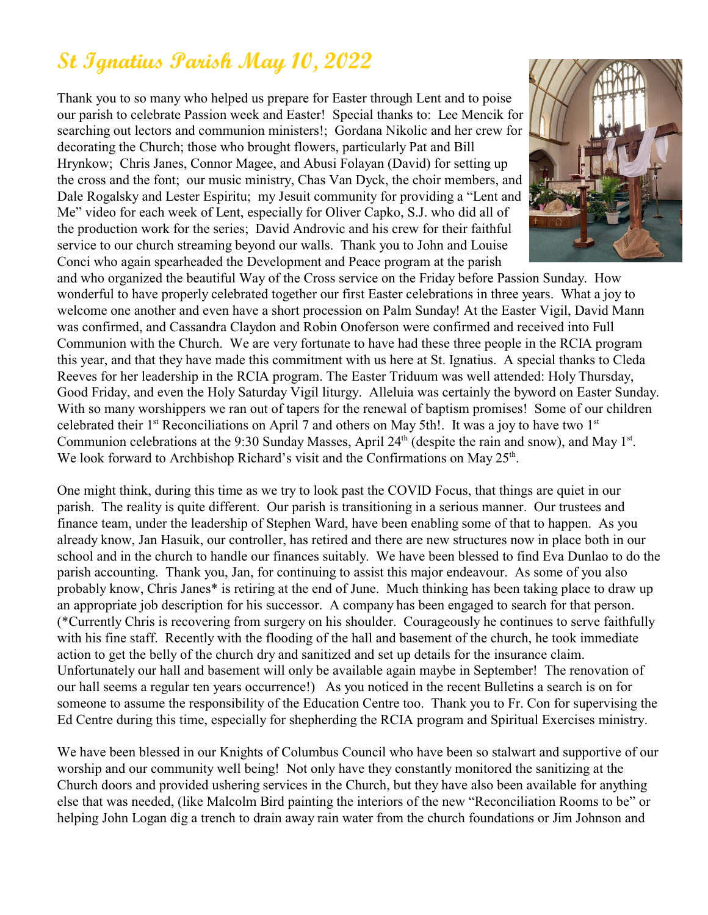## **St Ignatius Parish May 10, 2022**

Thank you to so many who helped us prepare for Easter through Lent and to poise our parish to celebrate Passion week and Easter! Special thanks to: Lee Mencik for searching out lectors and communion ministers!; Gordana Nikolic and her crew for decorating the Church; those who brought flowers, particularly Pat and Bill Hrynkow; Chris Janes, Connor Magee, and Abusi Folayan (David) for setting up the cross and the font; our music ministry, Chas Van Dyck, the choir members, and Dale Rogalsky and Lester Espiritu; my Jesuit community for providing a "Lent and Me" video for each week of Lent, especially for Oliver Capko, S.J. who did all of the production work for the series; David Androvic and his crew for their faithful service to our church streaming beyond our walls. Thank you to John and Louise Conci who again spearheaded the Development and Peace program at the parish



and who organized the beautiful Way of the Cross service on the Friday before Passion Sunday. How wonderful to have properly celebrated together our first Easter celebrations in three years. What a joy to welcome one another and even have a short procession on Palm Sunday! At the Easter Vigil, David Mann was confirmed, and Cassandra Claydon and Robin Onoferson were confirmed and received into Full Communion with the Church. We are very fortunate to have had these three people in the RCIA program this year, and that they have made this commitment with us here at St. Ignatius. A special thanks to Cleda Reeves for her leadership in the RCIA program. The Easter Triduum was well attended: Holy Thursday, Good Friday, and even the Holy Saturday Vigil liturgy. Alleluia was certainly the byword on Easter Sunday. With so many worshippers we ran out of tapers for the renewal of baptism promises! Some of our children celebrated their  $1<sup>st</sup>$  Reconciliations on April 7 and others on May 5th!. It was a joy to have two  $1<sup>st</sup>$ Communion celebrations at the 9:30 Sunday Masses, April 24<sup>th</sup> (despite the rain and snow), and May 1<sup>st</sup>. We look forward to Archbishop Richard's visit and the Confirmations on May  $25<sup>th</sup>$ .

One might think, during this time as we try to look past the COVID Focus, that things are quiet in our parish. The reality is quite different. Our parish is transitioning in a serious manner. Our trustees and finance team, under the leadership of Stephen Ward, have been enabling some of that to happen. As you already know, Jan Hasuik, our controller, has retired and there are new structures now in place both in our school and in the church to handle our finances suitably. We have been blessed to find Eva Dunlao to do the parish accounting. Thank you, Jan, for continuing to assist this major endeavour. As some of you also probably know, Chris Janes\* is retiring at the end of June. Much thinking has been taking place to draw up an appropriate job description for his successor. A company has been engaged to search for that person. (\*Currently Chris is recovering from surgery on his shoulder. Courageously he continues to serve faithfully with his fine staff. Recently with the flooding of the hall and basement of the church, he took immediate action to get the belly of the church dry and sanitized and set up details for the insurance claim. Unfortunately our hall and basement will only be available again maybe in September! The renovation of our hall seems a regular ten years occurrence!) As you noticed in the recent Bulletins a search is on for someone to assume the responsibility of the Education Centre too. Thank you to Fr. Con for supervising the Ed Centre during this time, especially for shepherding the RCIA program and Spiritual Exercises ministry.

We have been blessed in our Knights of Columbus Council who have been so stalwart and supportive of our worship and our community well being! Not only have they constantly monitored the sanitizing at the Church doors and provided ushering services in the Church, but they have also been available for anything else that was needed, (like Malcolm Bird painting the interiors of the new "Reconciliation Rooms to be" or helping John Logan dig a trench to drain away rain water from the church foundations or Jim Johnson and